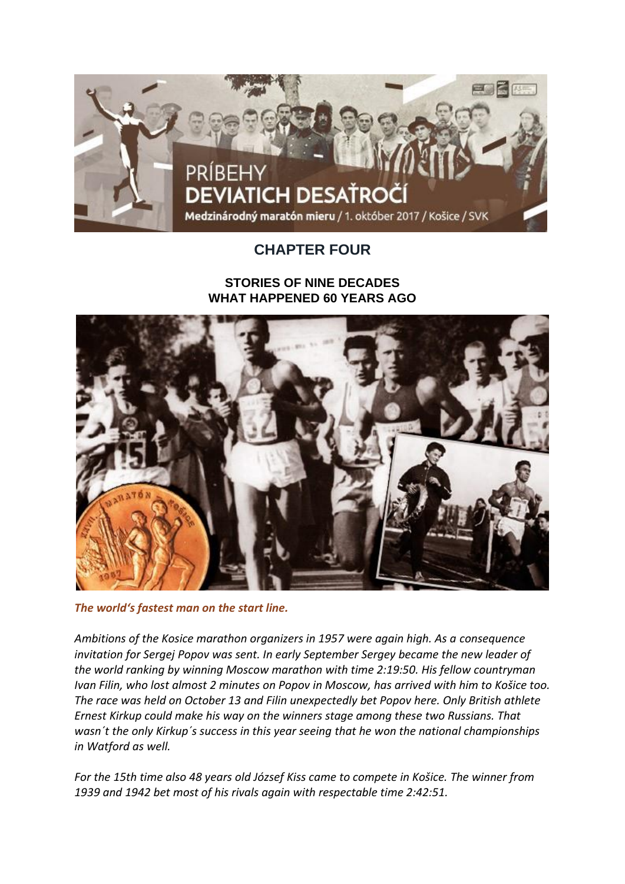

## **CHAPTER FOUR**

## **STORIES OF NINE DECADES WHAT HAPPENED 60 YEARS AGO**



*The world's fastest man on the start line.*

*Ambitions of the Kosice marathon organizers in 1957 were again high. As a consequence invitation for Sergej Popov was sent. In early September Sergey became the new leader of the world ranking by winning Moscow marathon with time 2:19:50. His fellow countryman Ivan Filin, who lost almost 2 minutes on Popov in Moscow, has arrived with him to Košice too. The race was held on October 13 and Filin unexpectedly bet Popov here. Only British athlete Ernest Kirkup could make his way on the winners stage among these two Russians. That wasn´t the only Kirkup´s success in this year seeing that he won the national championships in Watford as well.*

*For the 15th time also 48 years old József Kiss came to compete in Košice. The winner from 1939 and 1942 bet most of his rivals again with respectable time 2:42:51.*